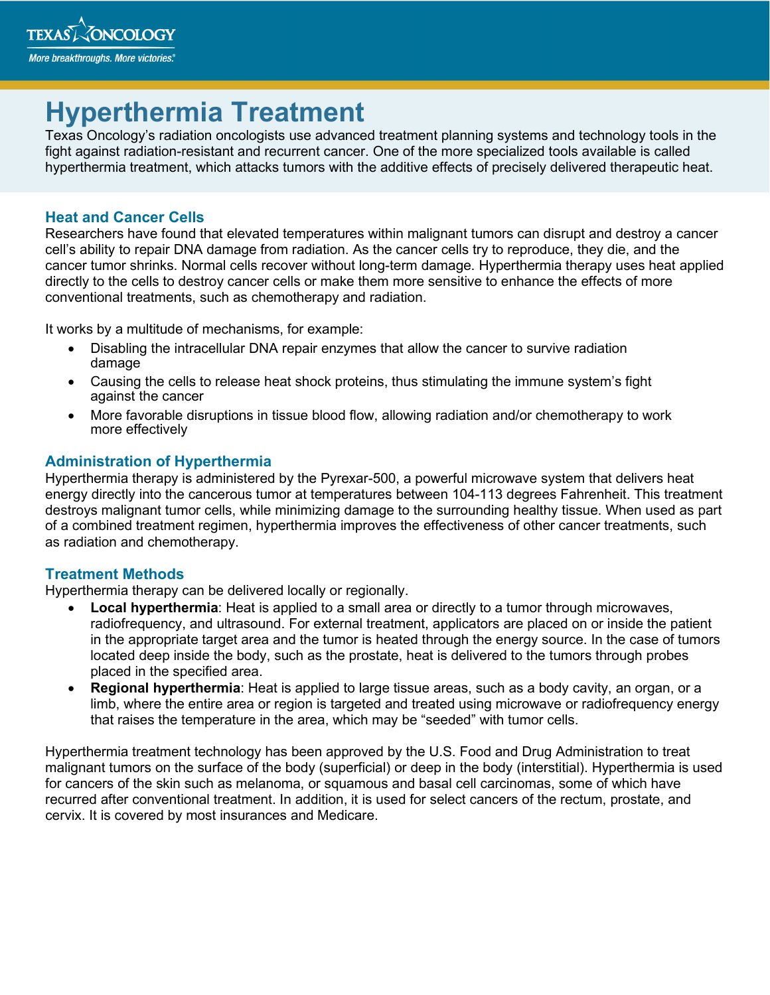

# **Hyperthermia Treatment**

Texas Oncology's radiation oncologists use advanced treatment planning systems and technology tools in the fight against radiation-resistant and recurrent cancer. One of the more specialized tools available is called hyperthermia treatment, which attacks tumors with the additive effects of precisely delivered therapeutic heat.

### **Heat and Cancer Cells**

Researchers have found that elevated temperatures within malignant tumors can disrupt and destroy a cancer cell's ability to repair DNA damage from radiation. As the cancer cells try to reproduce, they die, and the cancer tumor shrinks. Normal cells recover without long-term damage. Hyperthermia therapy uses heat applied directly to the cells to destroy cancer cells or make them more sensitive to enhance the effects of more conventional treatments, such as chemotherapy and radiation.

It works by a multitude of mechanisms, for example:

- Disabling the intracellular DNA repair enzymes that allow the cancer to survive radiation damage
- Causing the cells to release heat shock proteins, thus stimulating the immune system's fight against the cancer
- More favorable disruptions in tissue blood flow, allowing radiation and/or chemotherapy to work more effectively

#### **Administration of Hyperthermia**

Hyperthermia therapy is administered by the Pyrexar-500, a powerful microwave system that delivers heat energy directly into the cancerous tumor at temperatures between 104-113 degrees Fahrenheit. This treatment destroys malignant tumor cells, while minimizing damage to the surrounding healthy tissue. When used as part of a combined treatment regimen, hyperthermia improves the effectiveness of other cancer treatments, such as radiation and chemotherapy.

#### **Treatment Methods**

Hyperthermia therapy can be delivered locally or regionally.

- **Local hyperthermia**: Heat is applied to a small area or directly to a tumor through microwaves, radiofrequency, and ultrasound. For external treatment, applicators are placed on or inside the patient in the appropriate target area and the tumor is heated through the energy source. In the case of tumors located deep inside the body, such as the prostate, heat is delivered to the tumors through probes placed in the specified area.
- **Regional hyperthermia**: Heat is applied to large tissue areas, such as a body cavity, an organ, or a limb, where the entire area or region is targeted and treated using microwave or radiofrequency energy that raises the temperature in the area, which may be "seeded" with tumor cells.

Hyperthermia treatment technology has been approved by the U.S. Food and Drug Administration to treat malignant tumors on the surface of the body (superficial) or deep in the body (interstitial). Hyperthermia is used for cancers of the skin such as melanoma, or squamous and basal cell carcinomas, some of which have recurred after conventional treatment. In addition, it is used for select cancers of the rectum, prostate, and cervix. It is covered by most insurances and Medicare.